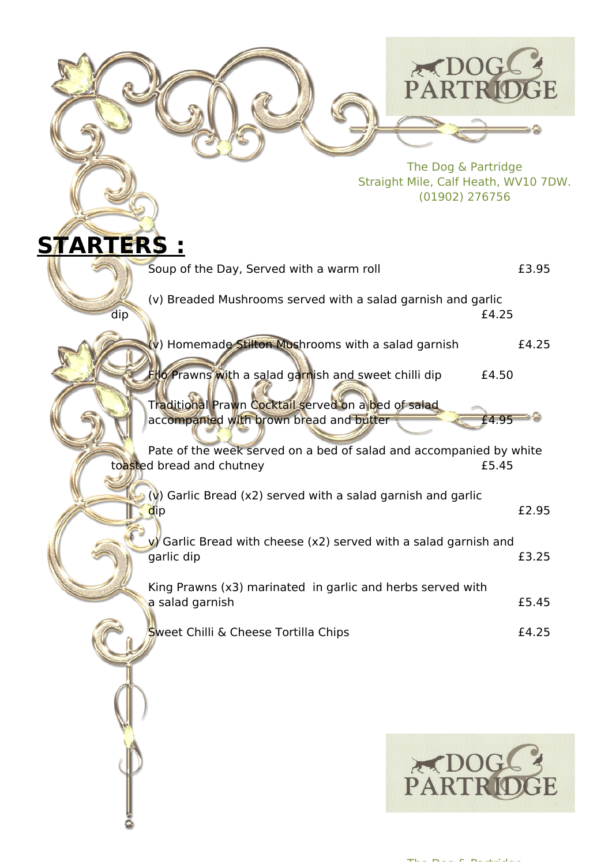

The Dog & Partridge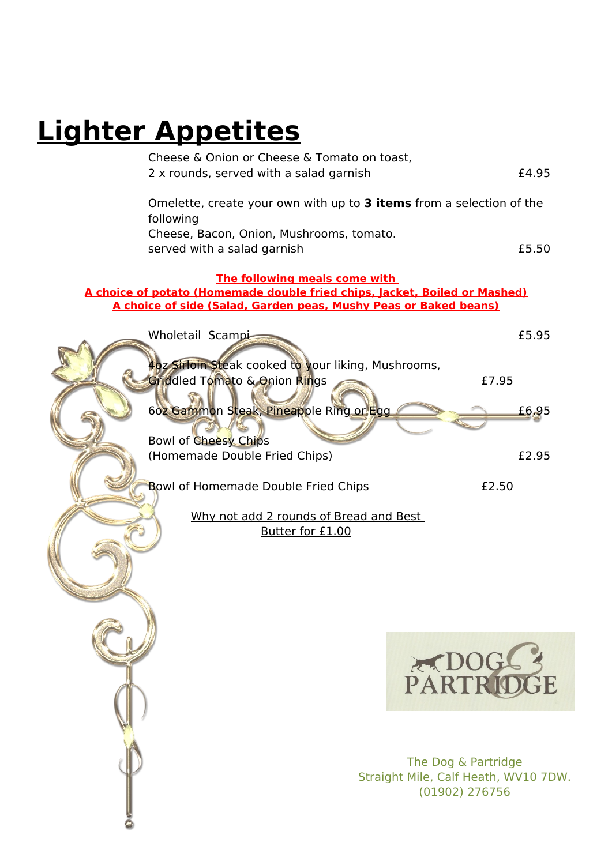# **Lighter Appetites**

| Cheese & Onion or Cheese & Tomato on toast,                                |       |
|----------------------------------------------------------------------------|-------|
| 2 x rounds, served with a salad garnish                                    | £4.95 |
|                                                                            |       |
| Omelette, create your own with up to 3 items from a selection of the       |       |
| following                                                                  |       |
| Cheese, Bacon, Onion, Mushrooms, tomato.                                   |       |
| served with a salad garnish                                                | £5.50 |
| The following meals come with                                              |       |
| A choice of potato (Homemade double fried chips, Jacket, Boiled or Mashed) |       |
| A choice of side (Salad, Garden peas, Mushy Peas or Baked beans)           |       |
|                                                                            |       |
| Wholetail Scampi                                                           | £5.95 |
|                                                                            |       |
| 40z Sirloin Steak cooked to your liking, Mushrooms,                        |       |
| Griddled Tomato & Onion Rings                                              | £7.95 |
|                                                                            |       |
| 60z Gammon Steak, Pineapple Ring or Egg                                    | £6.95 |
|                                                                            |       |
| <b>Bowl of Cheesy Chips</b>                                                |       |
| (Homemade Double Fried Chips)                                              | £2.95 |
|                                                                            |       |
| <b>Bowl of Homemade Double Fried Chips</b>                                 | £2.50 |
|                                                                            |       |
| Why not add 2 rounds of Bread and Best                                     |       |
|                                                                            |       |

Butter for £1.00



The Dog & Partridge Straight Mile, Calf Heath, WV10 7DW. (01902) 276756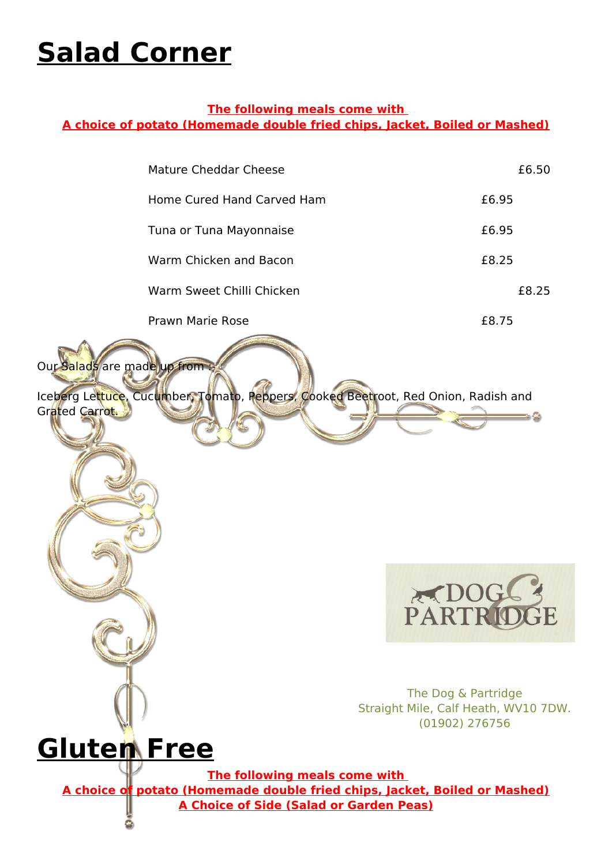# **Salad Corner**

### **The following meals come with**

**A choice of potato (Homemade double fried chips, Jacket, Boiled or Mashed)**

|                                               | <b>Mature Cheddar Cheese</b>                                                                                | £6.50                                                                         |
|-----------------------------------------------|-------------------------------------------------------------------------------------------------------------|-------------------------------------------------------------------------------|
|                                               | Home Cured Hand Carved Ham                                                                                  | £6.95                                                                         |
|                                               | Tuna or Tuna Mayonnaise                                                                                     | £6.95                                                                         |
|                                               | Warm Chicken and Bacon                                                                                      | £8.25                                                                         |
|                                               | Warm Sweet Chilli Chicken                                                                                   | £8.25                                                                         |
|                                               | <b>Prawn Marie Rose</b>                                                                                     | £8.75                                                                         |
| Our Salads are made up from<br>Grated Carrot. | Iceberg Lettuce, Cucumber, Tomato, Peppers, Cooked Beetroot, Red Onion, Radish and                          |                                                                               |
|                                               |                                                                                                             | PARTRIDGE                                                                     |
|                                               |                                                                                                             | The Dog & Partridge<br>Straight Mile, Calf Heath, WV10 7DW.<br>(01902) 276756 |
| <b>Gluten Free</b>                            | The following meals come with<br>A choice of potato (Homemade double fried chips, Jacket, Boiled or Mashed) |                                                                               |
|                                               | <b>A Choice of Side (Salad or Garden Peas)</b>                                                              |                                                                               |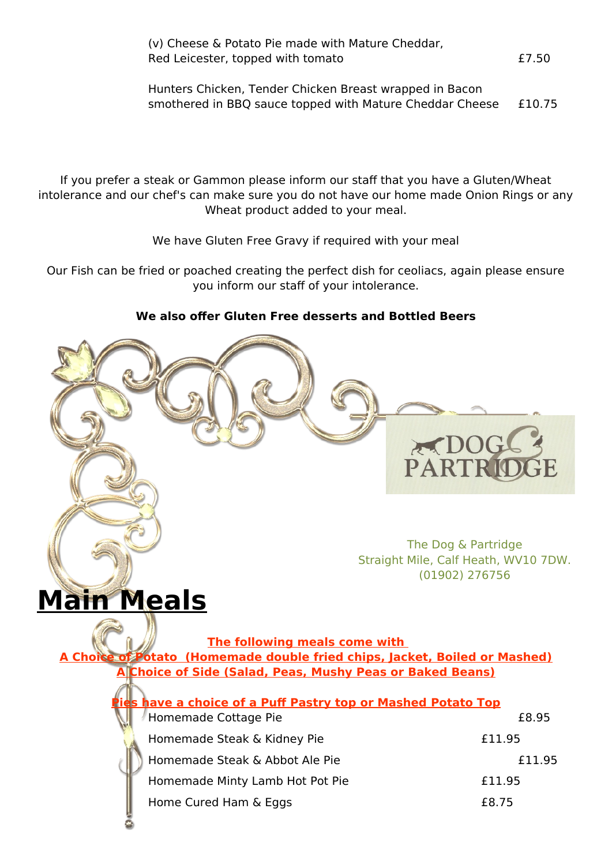| (v) Cheese & Potato Pie made with Mature Cheddar, |       |
|---------------------------------------------------|-------|
| Red Leicester, topped with tomato                 | £7.50 |

Hunters Chicken, Tender Chicken Breast wrapped in Bacon smothered in BBQ sauce topped with Mature Cheddar Cheese £10.75

If you prefer a steak or Gammon please inform our staff that you have a Gluten/Wheat intolerance and our chef's can make sure you do not have our home made Onion Rings or any Wheat product added to your meal.

We have Gluten Free Gravy if required with your meal

Our Fish can be fried or poached creating the perfect dish for ceoliacs, again please ensure you inform our staff of your intolerance.

### **We also offer Gluten Free desserts and Bottled Beers**



 $\geq 0$ 

**PART** 

### **Main Meals**

**The following meals come with A Choice of Potato (Homemade double fried chips, Jacket, Boiled or Mashed) Choice of Side (Salad, Peas, Mushy Peas or Baked Beans)** 

| have a choice of a Puff Pastry top or Mashed Potato Top |        |
|---------------------------------------------------------|--------|
| Homemade Cottage Pie                                    | £8.95  |
| Homemade Steak & Kidney Pie                             | £11.95 |
| Homemade Steak & Abbot Ale Pie                          | £11.95 |
| Homemade Minty Lamb Hot Pot Pie                         | £11.95 |
| Home Cured Ham & Eggs                                   | £8.75  |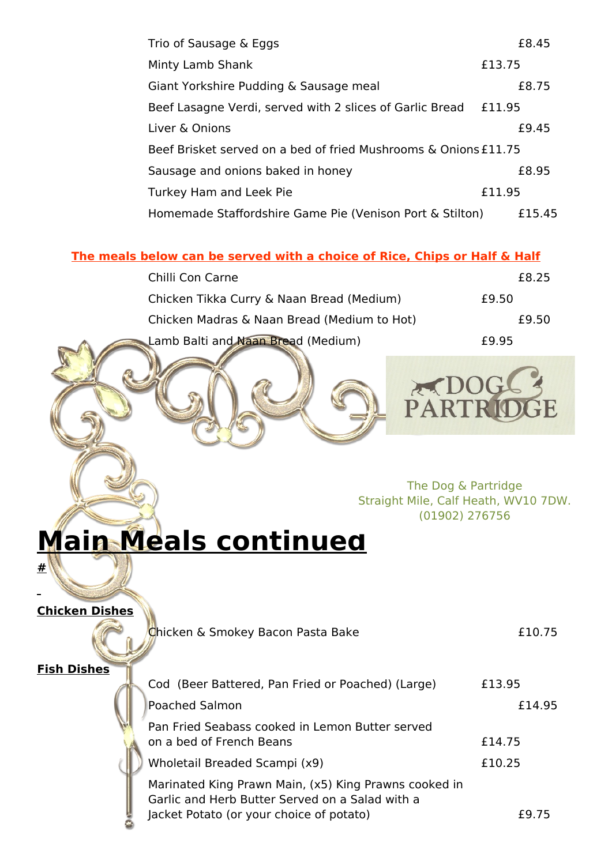| Trio of Sausage & Eggs                                          | £8.45  |  |
|-----------------------------------------------------------------|--------|--|
| Minty Lamb Shank                                                | £13.75 |  |
| Giant Yorkshire Pudding & Sausage meal                          | £8.75  |  |
| Beef Lasagne Verdi, served with 2 slices of Garlic Bread        | £11.95 |  |
| Liver & Onions                                                  | £9.45  |  |
| Beef Brisket served on a bed of fried Mushrooms & Onions £11.75 |        |  |
| Sausage and onions baked in honey                               | £8.95  |  |
| Turkey Ham and Leek Pie                                         | £11.95 |  |
| Homemade Staffordshire Game Pie (Venison Port & Stilton)        | £15.45 |  |

### **The meals below can be served with a choice of Rice, Chips or Half & Half**

| Chilli Con Carne                            | £8.25 |
|---------------------------------------------|-------|
| Chicken Tikka Curry & Naan Bread (Medium)   | £9.50 |
| Chicken Madras & Naan Bread (Medium to Hot) | £9.50 |
| Lamb Balti and Naan Bread (Medium)          | £9.95 |



PARTR

# **Main Meals continued**

**Chicken Dishes**

**Fish Dishes**

**#**

| Chicken & Smokey Bacon Pasta Bake<br>£10.75                                           |
|---------------------------------------------------------------------------------------|
| Cod (Beer Battered, Pan Fried or Poached) (Large)<br>£13.95                           |
| £14.95                                                                                |
| Pan Fried Seabass cooked in Lemon Butter served<br>on a bed of French Beans<br>£14.75 |
| Wholetail Breaded Scampi (x9)<br>£10.25                                               |
|                                                                                       |

Marinated King Prawn Main, (x5) King Prawns cooked in Garlic and Herb Butter Served on a Salad with a Jacket Potato (or your choice of potato) £9.75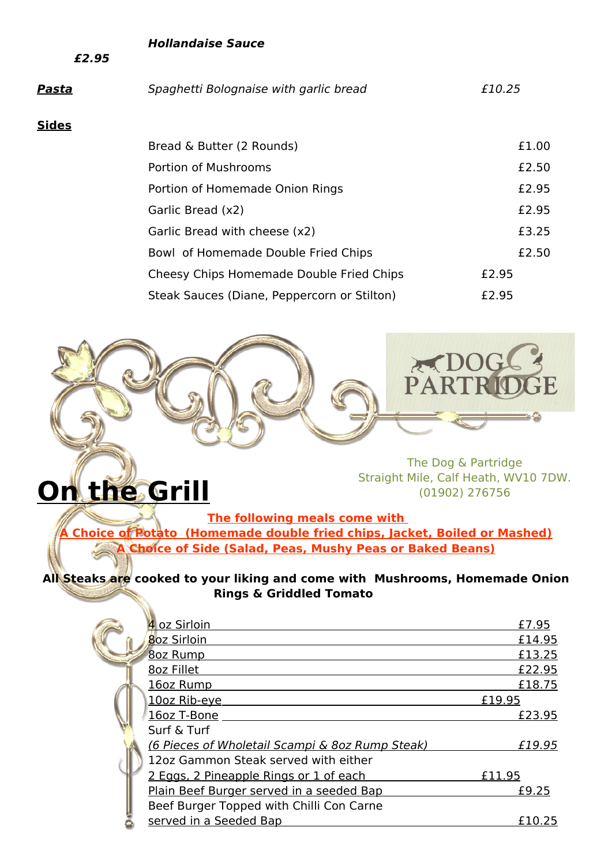#### **Hollandaise Sauce**

**£2.95**

**On the Grill**

| Pasta | Spaghetti Bolognaise with garlic bread      | £10.25 |
|-------|---------------------------------------------|--------|
| Sides |                                             |        |
|       | Bread & Butter (2 Rounds)                   | £1.00  |
|       | Portion of Mushrooms                        | £2.50  |
|       | Portion of Homemade Onion Rings             | £2.95  |
|       | Garlic Bread (x2)                           | £2.95  |
|       | Garlic Bread with cheese (x2)               | £3.25  |
|       | Bowl of Homemade Double Fried Chips         | £2.50  |
|       | Cheesy Chips Homemade Double Fried Chips    | £2.95  |
|       | Steak Sauces (Diane, Peppercorn or Stilton) | £2.95  |



The Dog & Partridge Straight Mile, Calf Heath, WV10 7DW. (01902) 276756

**The following meals come with** 

**A Choice of Potato (Homemade double fried chips, Jacket, Boiled or Mashed) A Choice of Side (Salad, Peas, Mushy Peas or Baked Beans)**

**All Steaks are cooked to your liking and come with Mushrooms, Homemade Onion Rings & Griddled Tomato**

| 4 oz Sirloin                                    | £7.95  |
|-------------------------------------------------|--------|
| 8oz Sirloin                                     | £14.95 |
| <b>8oz Rump</b>                                 | £13.25 |
| 8oz Fillet                                      | £22.95 |
| 16oz Rump                                       | £18.75 |
| 10oz Rib-eye                                    | £19.95 |
| 16oz T-Bone                                     | £23.95 |
| Surf & Turf                                     |        |
| (6 Pieces of Wholetail Scampi & 8oz Rump Steak) | £19.95 |
| 12oz Gammon Steak served with either            |        |
| 2 Eggs, 2 Pineapple Rings or 1 of each          | £11.95 |
| Plain Beef Burger served in a seeded Bap        | £9.25  |
| Beef Burger Topped with Chilli Con Carne        |        |
| served in a Seeded Bap                          | £10.25 |